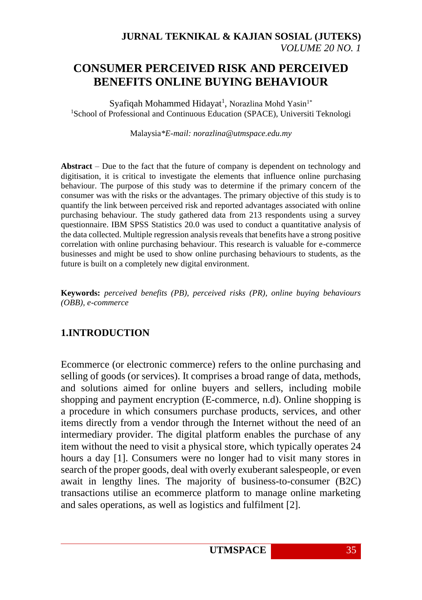# **CONSUMER PERCEIVED RISK AND PERCEIVED BENEFITS ONLINE BUYING BEHAVIOUR**

Syafiqah Mohammed Hidayat<sup>1</sup>, Norazlina Mohd Yasin<sup>1\*</sup> <sup>1</sup>School of Professional and Continuous Education (SPACE), Universiti Teknologi

Malaysia*\*E-mail: norazlina@utmspace.edu.my*

**Abstract** – Due to the fact that the future of company is dependent on technology and digitisation, it is critical to investigate the elements that influence online purchasing behaviour. The purpose of this study was to determine if the primary concern of the consumer was with the risks or the advantages. The primary objective of this study is to quantify the link between perceived risk and reported advantages associated with online purchasing behaviour. The study gathered data from 213 respondents using a survey questionnaire. IBM SPSS Statistics 20.0 was used to conduct a quantitative analysis of the data collected. Multiple regression analysis reveals that benefits have a strong positive correlation with online purchasing behaviour. This research is valuable for e-commerce businesses and might be used to show online purchasing behaviours to students, as the future is built on a completely new digital environment.

**Keywords:** *perceived benefits (PB), perceived risks (PR), online buying behaviours (OBB), e-commerce*

## **1.INTRODUCTION**

Ecommerce (or electronic commerce) refers to the online purchasing and selling of goods (or services). It comprises a broad range of data, methods, and solutions aimed for online buyers and sellers, including mobile shopping and payment encryption (E-commerce, n.d). Online shopping is a procedure in which consumers purchase products, services, and other items directly from a vendor through the Internet without the need of an intermediary provider. The digital platform enables the purchase of any item without the need to visit a physical store, which typically operates 24 hours a day [1]. Consumers were no longer had to visit many stores in search of the proper goods, deal with overly exuberant salespeople, or even await in lengthy lines. The majority of business-to-consumer (B2C) transactions utilise an ecommerce platform to manage online marketing and sales operations, as well as logistics and fulfilment [2].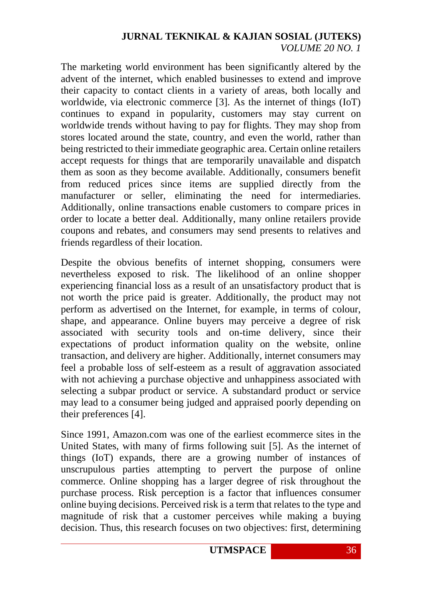The marketing world environment has been significantly altered by the advent of the internet, which enabled businesses to extend and improve their capacity to contact clients in a variety of areas, both locally and worldwide, via electronic commerce [3]. As the internet of things (IoT) continues to expand in popularity, customers may stay current on worldwide trends without having to pay for flights. They may shop from stores located around the state, country, and even the world, rather than being restricted to their immediate geographic area. Certain online retailers accept requests for things that are temporarily unavailable and dispatch them as soon as they become available. Additionally, consumers benefit from reduced prices since items are supplied directly from the manufacturer or seller, eliminating the need for intermediaries. Additionally, online transactions enable customers to compare prices in order to locate a better deal. Additionally, many online retailers provide coupons and rebates, and consumers may send presents to relatives and friends regardless of their location.

Despite the obvious benefits of internet shopping, consumers were nevertheless exposed to risk. The likelihood of an online shopper experiencing financial loss as a result of an unsatisfactory product that is not worth the price paid is greater. Additionally, the product may not perform as advertised on the Internet, for example, in terms of colour, shape, and appearance. Online buyers may perceive a degree of risk associated with security tools and on-time delivery, since their expectations of product information quality on the website, online transaction, and delivery are higher. Additionally, internet consumers may feel a probable loss of self-esteem as a result of aggravation associated with not achieving a purchase objective and unhappiness associated with selecting a subpar product or service. A substandard product or service may lead to a consumer being judged and appraised poorly depending on their preferences [4].

Since 1991, Amazon.com was one of the earliest ecommerce sites in the United States, with many of firms following suit [5]. As the internet of things (IoT) expands, there are a growing number of instances of unscrupulous parties attempting to pervert the purpose of online commerce. Online shopping has a larger degree of risk throughout the purchase process. Risk perception is a factor that influences consumer online buying decisions. Perceived risk is a term that relates to the type and magnitude of risk that a customer perceives while making a buying decision. Thus, this research focuses on two objectives: first, determining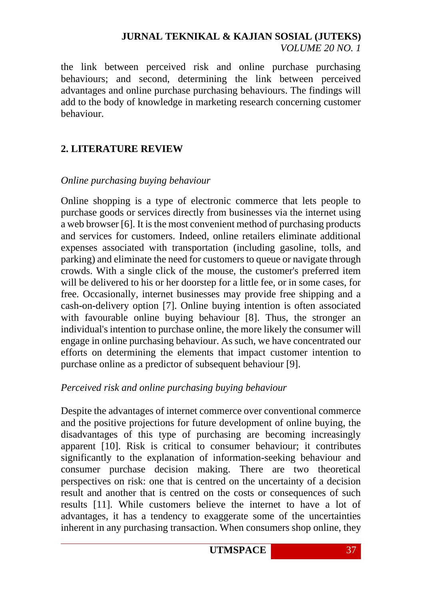the link between perceived risk and online purchase purchasing behaviours; and second, determining the link between perceived advantages and online purchase purchasing behaviours. The findings will add to the body of knowledge in marketing research concerning customer behaviour.

## **2. LITERATURE REVIEW**

#### *Online purchasing buying behaviour*

Online shopping is a type of electronic commerce that lets people to purchase goods or services directly from businesses via the internet using a web browser [6]. It is the most convenient method of purchasing products and services for customers. Indeed, online retailers eliminate additional expenses associated with transportation (including gasoline, tolls, and parking) and eliminate the need for customers to queue or navigate through crowds. With a single click of the mouse, the customer's preferred item will be delivered to his or her doorstep for a little fee, or in some cases, for free. Occasionally, internet businesses may provide free shipping and a cash-on-delivery option [7]. Online buying intention is often associated with favourable online buying behaviour [8]. Thus, the stronger an individual's intention to purchase online, the more likely the consumer will engage in online purchasing behaviour. As such, we have concentrated our efforts on determining the elements that impact customer intention to purchase online as a predictor of subsequent behaviour [9].

## *Perceived risk and online purchasing buying behaviour*

Despite the advantages of internet commerce over conventional commerce and the positive projections for future development of online buying, the disadvantages of this type of purchasing are becoming increasingly apparent [10]. Risk is critical to consumer behaviour; it contributes significantly to the explanation of information-seeking behaviour and consumer purchase decision making. There are two theoretical perspectives on risk: one that is centred on the uncertainty of a decision result and another that is centred on the costs or consequences of such results [11]. While customers believe the internet to have a lot of advantages, it has a tendency to exaggerate some of the uncertainties inherent in any purchasing transaction. When consumers shop online, they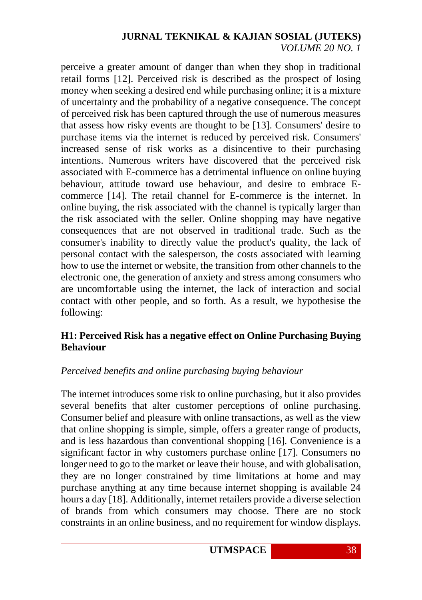perceive a greater amount of danger than when they shop in traditional retail forms [12]. Perceived risk is described as the prospect of losing money when seeking a desired end while purchasing online; it is a mixture of uncertainty and the probability of a negative consequence. The concept of perceived risk has been captured through the use of numerous measures that assess how risky events are thought to be [13]. Consumers' desire to purchase items via the internet is reduced by perceived risk. Consumers' increased sense of risk works as a disincentive to their purchasing intentions. Numerous writers have discovered that the perceived risk associated with E-commerce has a detrimental influence on online buying behaviour, attitude toward use behaviour, and desire to embrace Ecommerce [14]. The retail channel for E-commerce is the internet. In online buying, the risk associated with the channel is typically larger than the risk associated with the seller. Online shopping may have negative consequences that are not observed in traditional trade. Such as the consumer's inability to directly value the product's quality, the lack of personal contact with the salesperson, the costs associated with learning how to use the internet or website, the transition from other channels to the electronic one, the generation of anxiety and stress among consumers who are uncomfortable using the internet, the lack of interaction and social contact with other people, and so forth. As a result, we hypothesise the following:

## **H1: Perceived Risk has a negative effect on Online Purchasing Buying Behaviour**

## *Perceived benefits and online purchasing buying behaviour*

The internet introduces some risk to online purchasing, but it also provides several benefits that alter customer perceptions of online purchasing. Consumer belief and pleasure with online transactions, as well as the view that online shopping is simple, simple, offers a greater range of products, and is less hazardous than conventional shopping [16]. Convenience is a significant factor in why customers purchase online [17]. Consumers no longer need to go to the market or leave their house, and with globalisation, they are no longer constrained by time limitations at home and may purchase anything at any time because internet shopping is available 24 hours a day [18]. Additionally, internet retailers provide a diverse selection of brands from which consumers may choose. There are no stock constraints in an online business, and no requirement for window displays.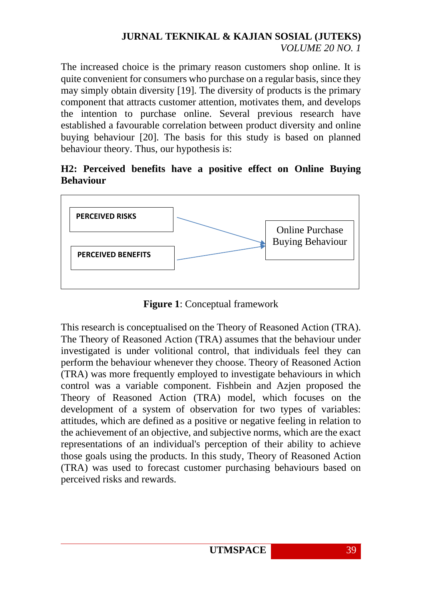The increased choice is the primary reason customers shop online. It is quite convenient for consumers who purchase on a regular basis, since they may simply obtain diversity [19]. The diversity of products is the primary component that attracts customer attention, motivates them, and develops the intention to purchase online. Several previous research have established a favourable correlation between product diversity and online buying behaviour [20]. The basis for this study is based on planned behaviour theory. Thus, our hypothesis is:

### **H2: Perceived benefits have a positive effect on Online Buying Behaviour**



**Figure 1**: Conceptual framework

This research is conceptualised on the Theory of Reasoned Action (TRA). The Theory of Reasoned Action (TRA) assumes that the behaviour under investigated is under volitional control, that individuals feel they can perform the behaviour whenever they choose. Theory of Reasoned Action (TRA) was more frequently employed to investigate behaviours in which control was a variable component. Fishbein and Azjen proposed the Theory of Reasoned Action (TRA) model, which focuses on the development of a system of observation for two types of variables: attitudes, which are defined as a positive or negative feeling in relation to the achievement of an objective, and subjective norms, which are the exact representations of an individual's perception of their ability to achieve those goals using the products. In this study, Theory of Reasoned Action (TRA) was used to forecast customer purchasing behaviours based on perceived risks and rewards.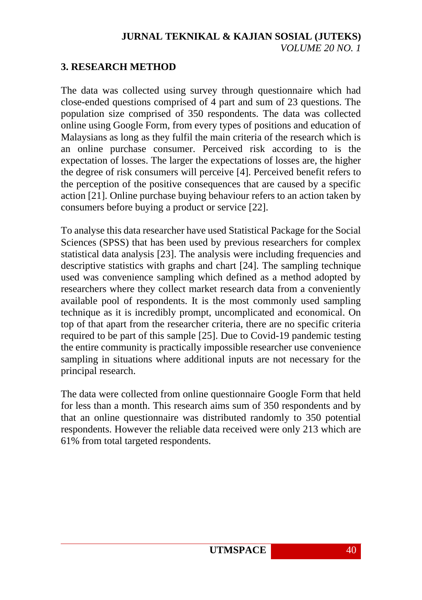## **3. RESEARCH METHOD**

The data was collected using survey through questionnaire which had close-ended questions comprised of 4 part and sum of 23 questions. The population size comprised of 350 respondents. The data was collected online using Google Form, from every types of positions and education of Malaysians as long as they fulfil the main criteria of the research which is an online purchase consumer. Perceived risk according to is the expectation of losses. The larger the expectations of losses are, the higher the degree of risk consumers will perceive [4]. Perceived benefit refers to the perception of the positive consequences that are caused by a specific action [21]. Online purchase buying behaviour refers to an action taken by consumers before buying a product or service [22].

To analyse this data researcher have used Statistical Package for the Social Sciences (SPSS) that has been used by previous researchers for complex statistical data analysis [23]. The analysis were including frequencies and descriptive statistics with graphs and chart [24]. The sampling technique used was convenience sampling which defined as a method adopted by researchers where they collect market research data from a conveniently available pool of respondents. It is the most commonly used sampling technique as it is incredibly prompt, uncomplicated and economical. On top of that apart from the researcher criteria, there are no specific criteria required to be part of this sample [25]. Due to Covid-19 pandemic testing the entire community is practically impossible researcher use convenience sampling in situations where additional inputs are not necessary for the principal research.

The data were collected from online questionnaire Google Form that held for less than a month. This research aims sum of 350 respondents and by that an online questionnaire was distributed randomly to 350 potential respondents. However the reliable data received were only 213 which are 61% from total targeted respondents.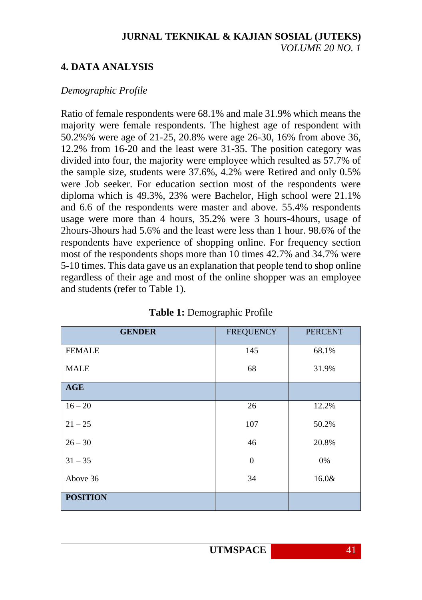## **4. DATA ANALYSIS**

#### *Demographic Profile*

Ratio of female respondents were 68.1% and male 31.9% which means the majority were female respondents. The highest age of respondent with 50.2%% were age of 21-25, 20.8% were age 26-30, 16% from above 36, 12.2% from 16-20 and the least were 31-35. The position category was divided into four, the majority were employee which resulted as 57.7% of the sample size, students were 37.6%, 4.2% were Retired and only 0.5% were Job seeker. For education section most of the respondents were diploma which is 49.3%, 23% were Bachelor, High school were 21.1% and 6.6 of the respondents were master and above. 55.4% respondents usage were more than 4 hours, 35.2% were 3 hours-4hours, usage of 2hours-3hours had 5.6% and the least were less than 1 hour. 98.6% of the respondents have experience of shopping online. For frequency section most of the respondents shops more than 10 times 42.7% and 34.7% were 5-10 times. This data gave us an explanation that people tend to shop online regardless of their age and most of the online shopper was an employee and students (refer to Table 1).

| <b>GENDER</b>   | <b>FREQUENCY</b> | <b>PERCENT</b> |
|-----------------|------------------|----------------|
| <b>FEMALE</b>   | 145              | 68.1%          |
| <b>MALE</b>     | 68               | 31.9%          |
| <b>AGE</b>      |                  |                |
| $16 - 20$       | 26               | 12.2%          |
| $21 - 25$       | 107              | 50.2%          |
| $26 - 30$       | 46               | 20.8%          |
| $31 - 35$       | $\overline{0}$   | 0%             |
| Above 36        | 34               | 16.0&          |
| <b>POSITION</b> |                  |                |

| Table 1: Demographic Profile |  |  |  |
|------------------------------|--|--|--|
|------------------------------|--|--|--|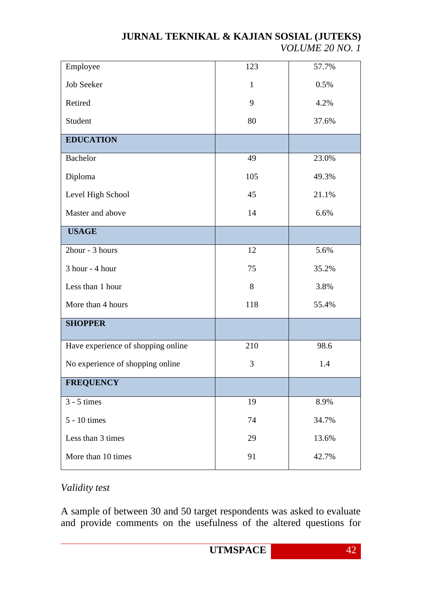| Employee                           | 123          | 57.7% |
|------------------------------------|--------------|-------|
| <b>Job Seeker</b>                  | $\mathbf{1}$ | 0.5%  |
| Retired                            | 9            | 4.2%  |
| Student                            | 80           | 37.6% |
| <b>EDUCATION</b>                   |              |       |
| <b>Bachelor</b>                    | 49           | 23.0% |
| Diploma                            | 105          | 49.3% |
| Level High School                  | 45           | 21.1% |
| Master and above                   | 14           | 6.6%  |
| <b>USAGE</b>                       |              |       |
| 2hour - 3 hours                    | 12           | 5.6%  |
| 3 hour - 4 hour                    | 75           | 35.2% |
| Less than 1 hour                   | 8            | 3.8%  |
| More than 4 hours                  | 118          | 55.4% |
| <b>SHOPPER</b>                     |              |       |
| Have experience of shopping online | 210          | 98.6  |
| No experience of shopping online   | 3            | 1.4   |
| <b>FREQUENCY</b>                   |              |       |
| $\overline{3 - 5}$ times           | 19           | 8.9%  |
| 5 - 10 times                       | 74           | 34.7% |
| Less than 3 times                  | 29           | 13.6% |
| More than 10 times                 | 91           | 42.7% |

## *Validity test*

A sample of between 30 and 50 target respondents was asked to evaluate and provide comments on the usefulness of the altered questions for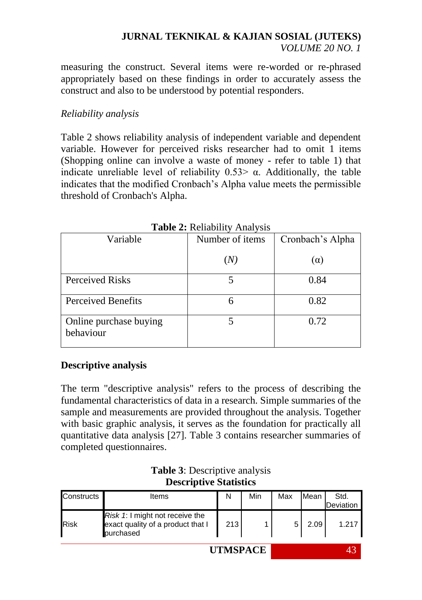measuring the construct. Several items were re-worded or re-phrased appropriately based on these findings in order to accurately assess the construct and also to be understood by potential responders.

#### *Reliability analysis*

Table 2 shows reliability analysis of independent variable and dependent variable. However for perceived risks researcher had to omit 1 items (Shopping online can involve a waste of money - refer to table 1) that indicate unreliable level of reliability  $0.53$   $\alpha$ . Additionally, the table indicates that the modified Cronbach's Alpha value meets the permissible threshold of Cronbach's Alpha.

| Variable                            | Number of items |            |
|-------------------------------------|-----------------|------------|
|                                     | (N)             | $(\alpha)$ |
| <b>Perceived Risks</b>              |                 | 0.84       |
| <b>Perceived Benefits</b>           | 6               | 0.82       |
| Online purchase buying<br>behaviour |                 | 0.72       |

**Table 2:** Reliability Analysis

## **Descriptive analysis**

The term "descriptive analysis" refers to the process of describing the fundamental characteristics of data in a research. Simple summaries of the sample and measurements are provided throughout the analysis. Together with basic graphic analysis, it serves as the foundation for practically all quantitative data analysis [27]. Table 3 contains researcher summaries of completed questionnaires.

| Descriptive Statistics |                                                                                          |     |     |     |      |                   |  |
|------------------------|------------------------------------------------------------------------------------------|-----|-----|-----|------|-------------------|--|
| Constructs             | <b>Items</b>                                                                             | N   | Min | Max | Mean | Std.<br>Deviation |  |
| <b>Risk</b>            | <i>Risk 1:</i> I might not receive the<br>exact quality of a product that I<br>purchased | 213 |     |     | 2.09 | 1 217             |  |

**Table 3**: Descriptive analysis **Descriptive Statistics**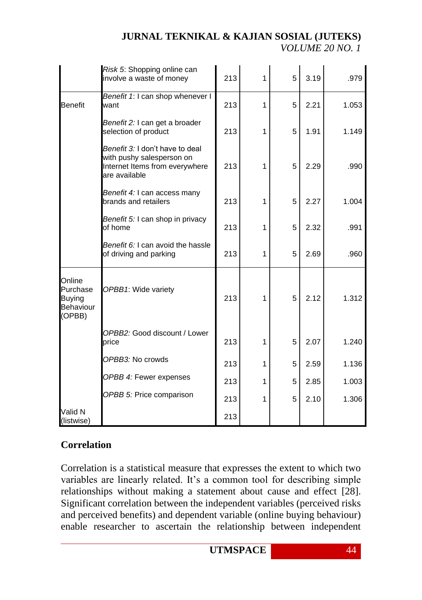|                                                            | Risk 5: Shopping online can<br>involve a waste of money                                                         | 213 | 1            | 5 | 3.19 | .979  |
|------------------------------------------------------------|-----------------------------------------------------------------------------------------------------------------|-----|--------------|---|------|-------|
| <b>Benefit</b>                                             | Benefit 1: I can shop whenever I<br>want                                                                        | 213 | $\mathbf{1}$ | 5 | 2.21 | 1.053 |
|                                                            | Benefit 2: I can get a broader<br>selection of product                                                          | 213 | 1            | 5 | 1.91 | 1.149 |
|                                                            | Benefit 3: I don't have to deal<br>with pushy salesperson on<br>Internet Items from everywhere<br>are available | 213 | 1            | 5 | 2.29 | .990  |
|                                                            | Benefit 4: I can access many<br>brands and retailers                                                            | 213 | 1            | 5 | 2.27 | 1.004 |
|                                                            | Benefit 5: I can shop in privacy<br>of home                                                                     | 213 | 1            | 5 | 2.32 | .991  |
|                                                            | Benefit 6: I can avoid the hassle<br>of driving and parking                                                     | 213 | 1            | 5 | 2.69 | .960  |
| Online<br>Purchase<br><b>Buying</b><br>Behaviour<br>(OPBB) | OPBB1: Wide variety                                                                                             | 213 | 1            | 5 | 2.12 | 1.312 |
|                                                            | OPBB2: Good discount / Lower<br>price                                                                           | 213 | 1            | 5 | 2.07 | 1.240 |
|                                                            | OPBB3: No crowds                                                                                                | 213 | 1            | 5 | 2.59 | 1.136 |
|                                                            | OPBB 4: Fewer expenses                                                                                          | 213 | 1            | 5 | 2.85 | 1.003 |
|                                                            | OPBB 5: Price comparison                                                                                        | 213 | 1            | 5 | 2.10 | 1.306 |
| Valid N<br>(listwise)                                      |                                                                                                                 | 213 |              |   |      |       |

## **Correlation**

Correlation is a statistical measure that expresses the extent to which two variables are linearly related. It's a common tool for describing simple relationships without making a statement about cause and effect [28]. Significant correlation between the independent variables (perceived risks and perceived benefits) and dependent variable (online buying behaviour) enable researcher to ascertain the relationship between independent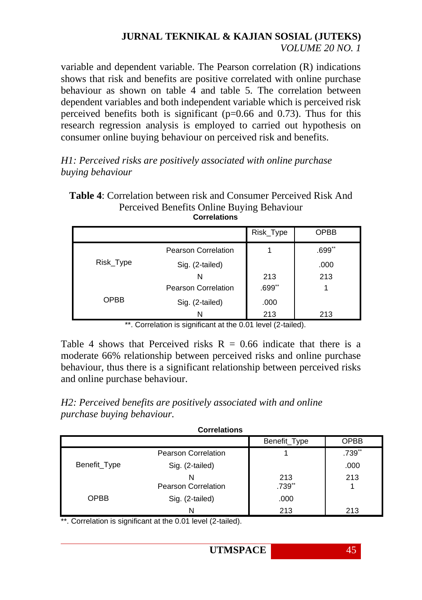variable and dependent variable. The Pearson correlation (R) indications shows that risk and benefits are positive correlated with online purchase behaviour as shown on table  $\overline{4}$  and table 5. The correlation between dependent variables and both independent variable which is perceived risk perceived benefits both is significant ( $p=0.66$  and 0.73). Thus for this research regression analysis is employed to carried out hypothesis on consumer online buying behaviour on perceived risk and benefits.

*H1: Perceived risks are positively associated with online purchase buying behaviour*

**Table 4**: Correlation between risk and Consumer Perceived Risk And Perceived Benefits Online Buying Behaviour **Correlations**

|                                                              |                     | Risk_Type | <b>OPBB</b> |
|--------------------------------------------------------------|---------------------|-----------|-------------|
|                                                              | Pearson Correlation |           | .699**      |
| Risk_Type<br>Sig. (2-tailed)<br>N                            |                     |           | .000        |
|                                                              |                     | 213       | 213         |
| <b>Pearson Correlation</b><br><b>OPBB</b><br>Sig. (2-tailed) | $.699**$            |           |             |
|                                                              |                     | .000      |             |
|                                                              | N                   | 213       | 213         |

\*\*. Correlation is significant at the 0.01 level (2-tailed).

Table 4 shows that Perceived risks  $R = 0.66$  indicate that there is a moderate 66% relationship between perceived risks and online purchase behaviour, thus there is a significant relationship between perceived risks and online purchase behaviour.

| H2: Perceived benefits are positively associated with and online |  |
|------------------------------------------------------------------|--|
| purchase buying behaviour.                                       |  |

| Correlations |                            |              |             |  |  |
|--------------|----------------------------|--------------|-------------|--|--|
|              |                            | Benefit_Type | <b>OPBB</b> |  |  |
|              | <b>Pearson Correlation</b> |              | .739**      |  |  |
| Benefit_Type | Sig. (2-tailed)            |              | .000        |  |  |
|              | N                          | 213          | 213         |  |  |
|              | Pearson Correlation        | .739**       |             |  |  |
| <b>OPBB</b>  | Sig. (2-tailed)            | .000         |             |  |  |
|              | N                          | 213          | 213         |  |  |

**Correlations**

\*\*. Correlation is significant at the 0.01 level (2-tailed).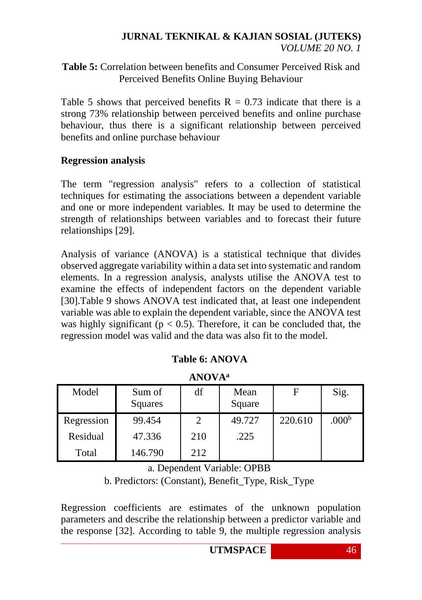## **Table 5:** Correlation between benefits and Consumer Perceived Risk and Perceived Benefits Online Buying Behaviour

Table 5 shows that perceived benefits  $R = 0.73$  indicate that there is a strong 73% relationship between perceived benefits and online purchase behaviour, thus there is a significant relationship between perceived benefits and online purchase behaviour

## **Regression analysis**

The term "regression analysis" refers to a collection of statistical techniques for estimating the associations between a dependent variable and one or more independent variables. It may be used to determine the strength of relationships between variables and to forecast their future relationships [29].

Analysis of variance (ANOVA) is a statistical technique that divides observed aggregate variability within a data set into systematic and random elements. In a regression analysis, analysts utilise the ANOVA test to examine the effects of independent factors on the dependent variable [30].Table 9 shows ANOVA test indicated that, at least one independent variable was able to explain the dependent variable, since the ANOVA test was highly significant ( $p < 0.5$ ). Therefore, it can be concluded that, the regression model was valid and the data was also fit to the model.

| Model      | Sum of<br>Squares | df  | Mean<br>Square | F       | Sig.              |  |  |
|------------|-------------------|-----|----------------|---------|-------------------|--|--|
| Regression | 99.454            | 2   | 49.727         | 220.610 | .000 <sup>b</sup> |  |  |
| Residual   | 47.336            | 210 | .225           |         |                   |  |  |
| Total      | 146.790           | 212 |                |         |                   |  |  |

## **Table 6: ANOVA**

**ANOVA<sup>a</sup>**

a. Dependent Variable: OPBB b. Predictors: (Constant), Benefit\_Type, Risk\_Type

Regression coefficients are estimates of the unknown population parameters and describe the relationship between a predictor variable and the response [32]. According to table 9, the multiple regression analysis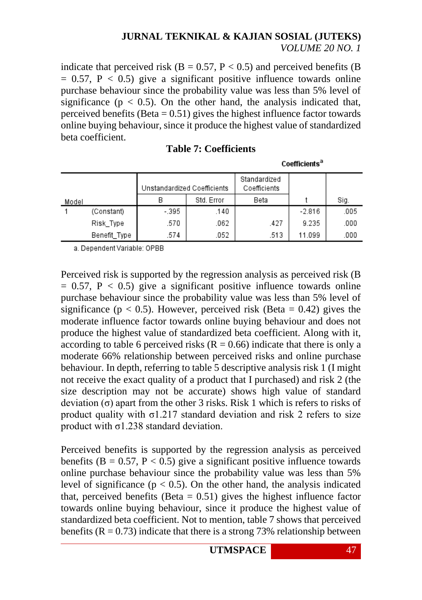indicate that perceived risk ( $B = 0.57$ ,  $P < 0.5$ ) and perceived benefits ( $B$  $= 0.57$ ,  $P < 0.5$ ) give a significant positive influence towards online purchase behaviour since the probability value was less than 5% level of significance ( $p < 0.5$ ). On the other hand, the analysis indicated that, perceived benefits (Beta  $= 0.51$ ) gives the highest influence factor towards online buying behaviour, since it produce the highest value of standardized beta coefficient.

Coefficients<sup>a</sup>

|       |              | Unstandardized Coefficients |            | Standardized<br>Coefficients |          |      |
|-------|--------------|-----------------------------|------------|------------------------------|----------|------|
| Model |              |                             | Std. Error | Beta                         |          | Sig. |
|       | (Constant)   | $-395$                      | .140       |                              | $-2.816$ | .005 |
|       | Risk Type    | .570                        | .062       | .427                         | 9.235    | .000 |
|       | Benefit_Type | .574                        | .052       | .513                         | 11.099   | .000 |

a. Dependent Variable: OPBB

Perceived risk is supported by the regression analysis as perceived risk (B  $= 0.57$ ,  $P < 0.5$ ) give a significant positive influence towards online purchase behaviour since the probability value was less than 5% level of significance ( $p < 0.5$ ). However, perceived risk (Beta = 0.42) gives the moderate influence factor towards online buying behaviour and does not produce the highest value of standardized beta coefficient. Along with it, according to table 6 perceived risks  $(R = 0.66)$  indicate that there is only a moderate 66% relationship between perceived risks and online purchase behaviour. In depth, referring to table 5 descriptive analysis risk 1 (I might not receive the exact quality of a product that I purchased) and risk 2 (the size description may not be accurate) shows high value of standard deviation (σ) apart from the other 3 risks. Risk 1 which is refers to risks of product quality with  $\sigma$ 1.217 standard deviation and risk 2 refers to size product with σ1.238 standard deviation.

Perceived benefits is supported by the regression analysis as perceived benefits ( $B = 0.57$ ,  $P < 0.5$ ) give a significant positive influence towards online purchase behaviour since the probability value was less than 5% level of significance ( $p < 0.5$ ). On the other hand, the analysis indicated that, perceived benefits (Beta  $= 0.51$ ) gives the highest influence factor towards online buying behaviour, since it produce the highest value of standardized beta coefficient. Not to mention, table 7 shows that perceived benefits  $(R = 0.73)$  indicate that there is a strong 73% relationship between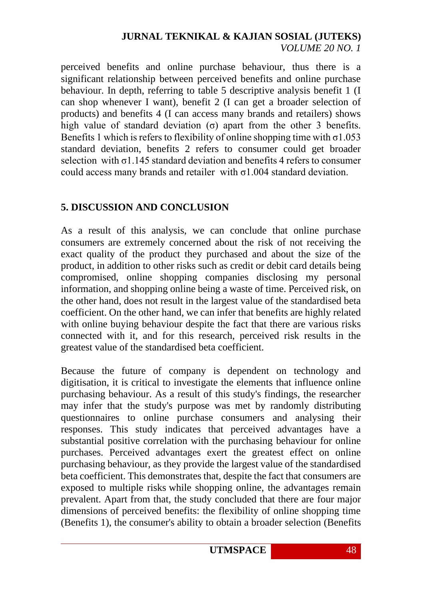perceived benefits and online purchase behaviour, thus there is a significant relationship between perceived benefits and online purchase behaviour. In depth, referring to table 5 descriptive analysis benefit 1 (I can shop whenever I want), benefit 2 (I can get a broader selection of products) and benefits 4 (I can access many brands and retailers) shows high value of standard deviation ( $\sigma$ ) apart from the other 3 benefits. Benefits 1 which is refers to flexibility of online shopping time with  $\sigma$ 1.053 standard deviation, benefits 2 refers to consumer could get broader selection with σ1.145 standard deviation and benefits 4 refers to consumer could access many brands and retailer with σ1.004 standard deviation.

## **5. DISCUSSION AND CONCLUSION**

As a result of this analysis, we can conclude that online purchase consumers are extremely concerned about the risk of not receiving the exact quality of the product they purchased and about the size of the product, in addition to other risks such as credit or debit card details being compromised, online shopping companies disclosing my personal information, and shopping online being a waste of time. Perceived risk, on the other hand, does not result in the largest value of the standardised beta coefficient. On the other hand, we can infer that benefits are highly related with online buying behaviour despite the fact that there are various risks connected with it, and for this research, perceived risk results in the greatest value of the standardised beta coefficient.

Because the future of company is dependent on technology and digitisation, it is critical to investigate the elements that influence online purchasing behaviour. As a result of this study's findings, the researcher may infer that the study's purpose was met by randomly distributing questionnaires to online purchase consumers and analysing their responses. This study indicates that perceived advantages have a substantial positive correlation with the purchasing behaviour for online purchases. Perceived advantages exert the greatest effect on online purchasing behaviour, as they provide the largest value of the standardised beta coefficient. This demonstrates that, despite the fact that consumers are exposed to multiple risks while shopping online, the advantages remain prevalent. Apart from that, the study concluded that there are four major dimensions of perceived benefits: the flexibility of online shopping time (Benefits 1), the consumer's ability to obtain a broader selection (Benefits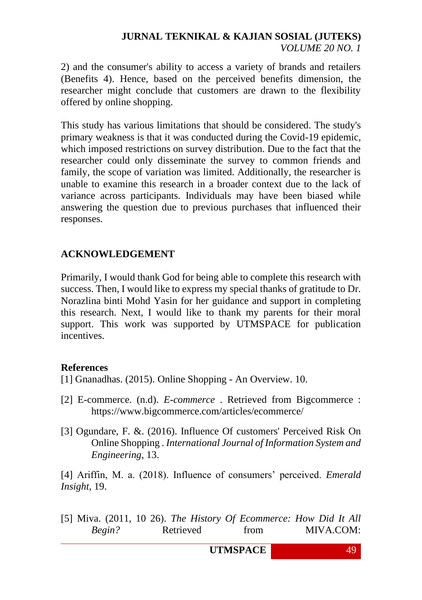2) and the consumer's ability to access a variety of brands and retailers (Benefits 4). Hence, based on the perceived benefits dimension, the researcher might conclude that customers are drawn to the flexibility offered by online shopping.

This study has various limitations that should be considered. The study's primary weakness is that it was conducted during the Covid-19 epidemic, which imposed restrictions on survey distribution. Due to the fact that the researcher could only disseminate the survey to common friends and family, the scope of variation was limited. Additionally, the researcher is unable to examine this research in a broader context due to the lack of variance across participants. Individuals may have been biased while answering the question due to previous purchases that influenced their responses.

## **ACKNOWLEDGEMENT**

Primarily, I would thank God for being able to complete this research with success. Then, I would like to express my special thanks of gratitude to Dr. Norazlina binti Mohd Yasin for her guidance and support in completing this research. Next, I would like to thank my parents for their moral support. This work was supported by UTMSPACE for publication incentives.

#### **References**

- [1] Gnanadhas. (2015). Online Shopping An Overview. 10.
- [2] E-commerce. (n.d). *E-commerce* . Retrieved from Bigcommerce : https://www.bigcommerce.com/articles/ecommerce/
- [3] Ogundare, F. &. (2016). Influence Of customers' Perceived Risk On Online Shopping . *International Journal of Information System and Engineering*, 13.

[4] Ariffin, M. a. (2018). Influence of consumers' perceived. *Emerald Insight*, 19.

[5] Miva. (2011, 10 26). *The History Of Ecommerce: How Did It All Begin?* Retrieved from MIVA.COM: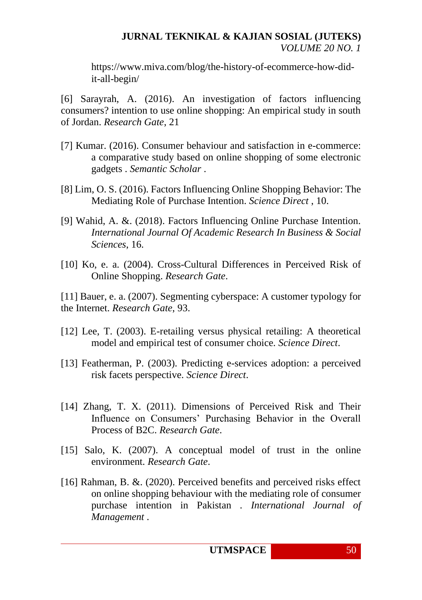https://www.miva.com/blog/the-history-of-ecommerce-how-didit-all-begin/

[6] Sarayrah, A. (2016). An investigation of factors influencing consumers? intention to use online shopping: An empirical study in south of Jordan. *Research Gate*, 21

- [7] Kumar. (2016). Consumer behaviour and satisfaction in e-commerce: a comparative study based on online shopping of some electronic gadgets . *Semantic Scholar* .
- [8] Lim, O. S. (2016). Factors Influencing Online Shopping Behavior: The Mediating Role of Purchase Intention. *Science Direct* , 10.
- [9] Wahid, A. &. (2018). Factors Influencing Online Purchase Intention. *International Journal Of Academic Research In Business & Social Sciences*, 16.
- [10] Ko, e. a. (2004). Cross-Cultural Differences in Perceived Risk of Online Shopping. *Research Gate*.

[11] Bauer, e. a. (2007). Segmenting cyberspace: A customer typology for the Internet. *Research Gate*, 93.

- [12] Lee, T. (2003). E-retailing versus physical retailing: A theoretical model and empirical test of consumer choice. *Science Direct*.
- [13] Featherman, P. (2003). Predicting e-services adoption: a perceived risk facets perspective. *Science Direct*.
- [14] Zhang, T. X. (2011). Dimensions of Perceived Risk and Their Influence on Consumers' Purchasing Behavior in the Overall Process of B2C. *Research Gate*.
- [15] Salo, K. (2007). A conceptual model of trust in the online environment. *Research Gate*.
- [16] Rahman, B. &. (2020). Perceived benefits and perceived risks effect on online shopping behaviour with the mediating role of consumer purchase intention in Pakistan . *International Journal of Management* .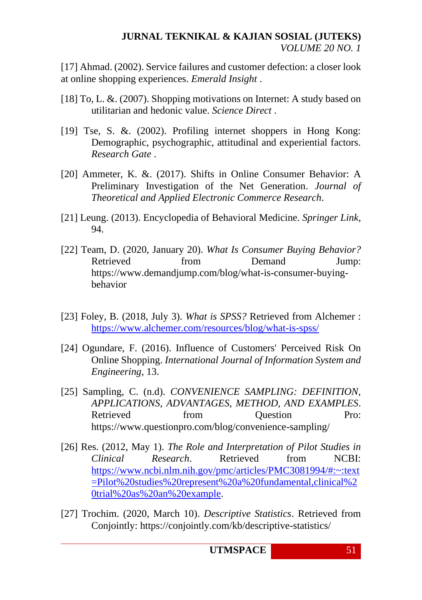[17] Ahmad. (2002). Service failures and customer defection: a closer look at online shopping experiences. *Emerald Insight* .

- [18] To, L. &. (2007). Shopping motivations on Internet: A study based on utilitarian and hedonic value. *Science Direct* .
- [19] Tse, S. &. (2002). Profiling internet shoppers in Hong Kong: Demographic, psychographic, attitudinal and experiential factors. *Research Gate* .
- [20] Ammeter, K. &. (2017). Shifts in Online Consumer Behavior: A Preliminary Investigation of the Net Generation. *Journal of Theoretical and Applied Electronic Commerce Research*.
- [21] Leung. (2013). Encyclopedia of Behavioral Medicine. *Springer Link*, 94.
- [22] Team, D. (2020, January 20). *What Is Consumer Buying Behavior?* Retrieved from Demand Jump: https://www.demandjump.com/blog/what-is-consumer-buyingbehavior
- [23] Foley, B. (2018, July 3). *What is SPSS?* Retrieved from Alchemer : <https://www.alchemer.com/resources/blog/what-is-spss/>
- [24] Ogundare, F. (2016). Influence of Customers' Perceived Risk On Online Shopping. *International Journal of Information System and Engineering*, 13.
- [25] Sampling, C. (n.d). *CONVENIENCE SAMPLING: DEFINITION, APPLICATIONS, ADVANTAGES, METHOD, AND EXAMPLES*. Retrieved from Question Pro: https://www.questionpro.com/blog/convenience-sampling/
- [26] Res. (2012, May 1). *The Role and Interpretation of Pilot Studies in Clinical Research*. Retrieved from NCBI: [https://www.ncbi.nlm.nih.gov/pmc/articles/PMC3081994/#:~:text](https://www.ncbi.nlm.nih.gov/pmc/articles/PMC3081994/#:~:text=Pilot%20studies%20represent%20a%20fundamental,clinical%20trial%20as%20an%20example) [=Pilot%20studies%20represent%20a%20fundamental,clinical%2](https://www.ncbi.nlm.nih.gov/pmc/articles/PMC3081994/#:~:text=Pilot%20studies%20represent%20a%20fundamental,clinical%20trial%20as%20an%20example) [0trial%20as%20an%20example.](https://www.ncbi.nlm.nih.gov/pmc/articles/PMC3081994/#:~:text=Pilot%20studies%20represent%20a%20fundamental,clinical%20trial%20as%20an%20example)
- [27] Trochim. (2020, March 10). *Descriptive Statistics*. Retrieved from Conjointly: https://conjointly.com/kb/descriptive-statistics/